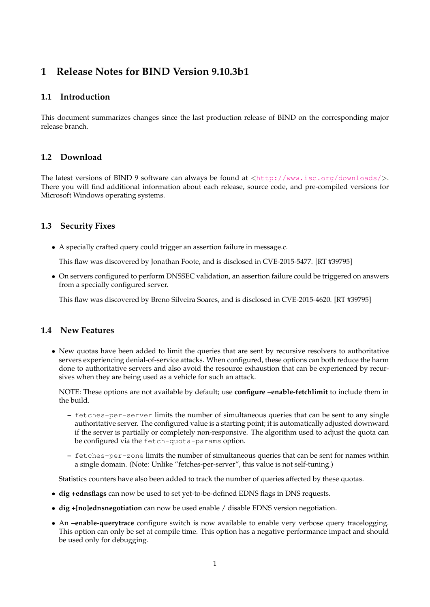# **1 Release Notes for BIND Version 9.10.3b1**

#### **1.1 Introduction**

This document summarizes changes since the last production release of BIND on the corresponding major release branch.

## **1.2 Download**

The latest versions of BIND 9 software can always be found at  $\langle \text{http://www.isc.org/downloads/}>$  $\langle \text{http://www.isc.org/downloads/}>$  $\langle \text{http://www.isc.org/downloads/}>$ . There you will find additional information about each release, source code, and pre-compiled versions for Microsoft Windows operating systems.

## **1.3 Security Fixes**

• A specially crafted query could trigger an assertion failure in message.c.

This flaw was discovered by Jonathan Foote, and is disclosed in CVE-2015-5477. [RT #39795]

• On servers configured to perform DNSSEC validation, an assertion failure could be triggered on answers from a specially configured server.

This flaw was discovered by Breno Silveira Soares, and is disclosed in CVE-2015-4620. [RT #39795]

#### **1.4 New Features**

• New quotas have been added to limit the queries that are sent by recursive resolvers to authoritative servers experiencing denial-of-service attacks. When configured, these options can both reduce the harm done to authoritative servers and also avoid the resource exhaustion that can be experienced by recursives when they are being used as a vehicle for such an attack.

NOTE: These options are not available by default; use **configure –enable-fetchlimit** to include them in the build.

- **–** fetches-per-server limits the number of simultaneous queries that can be sent to any single authoritative server. The configured value is a starting point; it is automatically adjusted downward if the server is partially or completely non-responsive. The algorithm used to adjust the quota can be configured via the fetch-quota-params option.
- **–** fetches-per-zone limits the number of simultaneous queries that can be sent for names within a single domain. (Note: Unlike "fetches-per-server", this value is not self-tuning.)

Statistics counters have also been added to track the number of queries affected by these quotas.

- **dig +ednsflags** can now be used to set yet-to-be-defined EDNS flags in DNS requests.
- **dig +[no]ednsnegotiation** can now be used enable / disable EDNS version negotiation.
- An **–enable-querytrace** configure switch is now available to enable very verbose query tracelogging. This option can only be set at compile time. This option has a negative performance impact and should be used only for debugging.